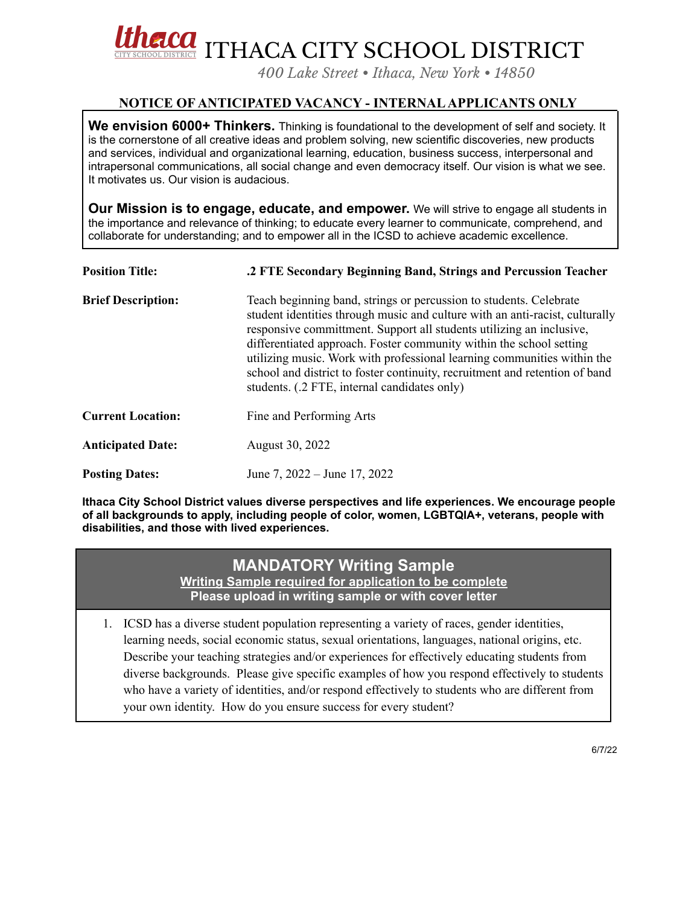

*400 Lake Street • Ithaca, New York • 14850*

## **NOTICE OF ANTICIPATED VACANCY - INTERNALAPPLICANTS ONLY**

**We envision 6000+ Thinkers.** Thinking is foundational to the development of self and society. It is the cornerstone of all creative ideas and problem solving, new scientific discoveries, new products and services, individual and organizational learning, education, business success, interpersonal and intrapersonal communications, all social change and even democracy itself. Our vision is what we see. It motivates us. Our vision is audacious.

**Our Mission is to engage, educate, and empower.** We will strive to engage all students in the importance and relevance of thinking; to educate every learner to communicate, comprehend, and collaborate for understanding; and to empower all in the ICSD to achieve academic excellence.

| <b>Position Title:</b>    | .2 FTE Secondary Beginning Band, Strings and Percussion Teacher                                                                                                                                                                                                                                                                                                                                                                                                                                             |
|---------------------------|-------------------------------------------------------------------------------------------------------------------------------------------------------------------------------------------------------------------------------------------------------------------------------------------------------------------------------------------------------------------------------------------------------------------------------------------------------------------------------------------------------------|
| <b>Brief Description:</b> | Teach beginning band, strings or percussion to students. Celebrate<br>student identities through music and culture with an anti-racist, culturally<br>responsive committment. Support all students utilizing an inclusive,<br>differentiated approach. Foster community within the school setting<br>utilizing music. Work with professional learning communities within the<br>school and district to foster continuity, recruitment and retention of band<br>students. (.2 FTE, internal candidates only) |
| <b>Current Location:</b>  | Fine and Performing Arts                                                                                                                                                                                                                                                                                                                                                                                                                                                                                    |
| <b>Anticipated Date:</b>  | August 30, 2022                                                                                                                                                                                                                                                                                                                                                                                                                                                                                             |
| <b>Posting Dates:</b>     | June 7, 2022 – June 17, 2022                                                                                                                                                                                                                                                                                                                                                                                                                                                                                |

**Ithaca City School District values diverse perspectives and life experiences. We encourage people of all backgrounds to apply, including people of color, women, LGBTQIA+, veterans, people with disabilities, and those with lived experiences.**

# **MANDATORY Writing Sample**

**Writing Sample required for application to be complete Please upload in writing sample or with cover letter**

1. ICSD has a diverse student population representing a variety of races, gender identities, learning needs, social economic status, sexual orientations, languages, national origins, etc. Describe your teaching strategies and/or experiences for effectively educating students from diverse backgrounds. Please give specific examples of how you respond effectively to students who have a variety of identities, and/or respond effectively to students who are different from your own identity. How do you ensure success for every student?